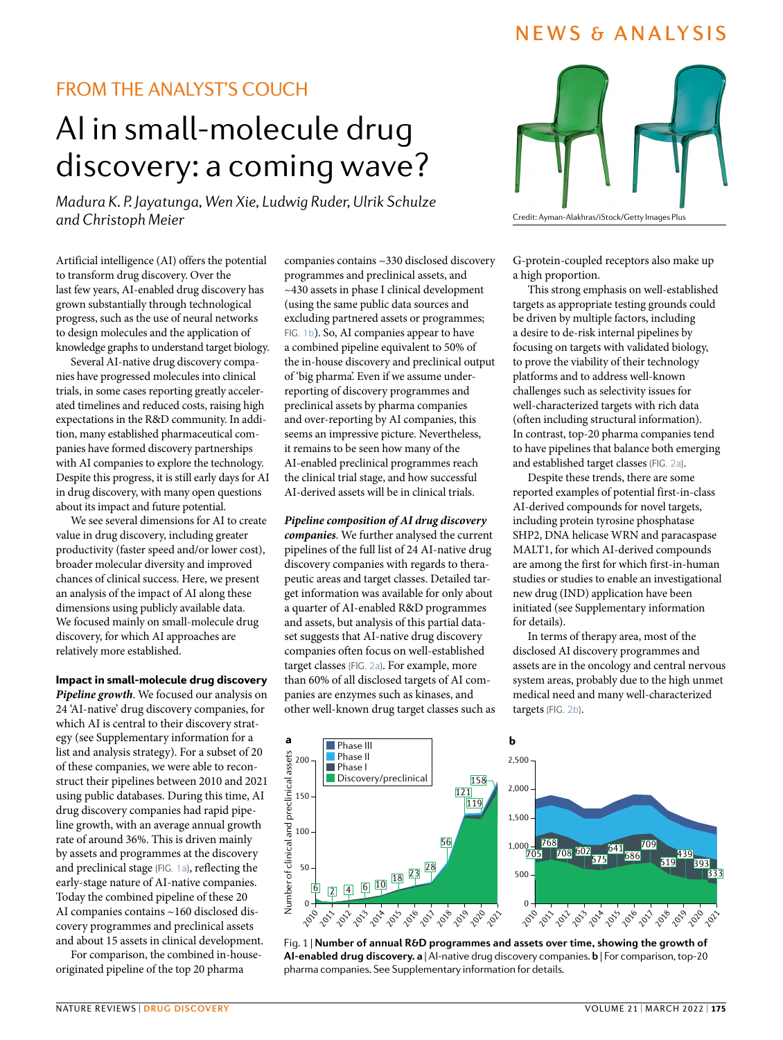# NEWS & ANALYSIS

# FROM THE ANALYST'S COUCH

# AI in small-molecule drug discovery: a coming wave?

*Madura K. P. Jayatunga, Wen Xie, Ludwig Ruder, Ulrik Schulze and Christoph Meier* Credit: Ayman-Alakhras/iStock/Getty Images Plus

Artificial intelligence (AI) offers the potential to transform drug discovery. Over the last few years, AI-enabled drug discovery has grown substantially through technological progress, such as the use of neural networks to design molecules and the application of knowledge graphs to understand target biology.

Several AI-native drug discovery companies have progressed molecules into clinical trials, in some cases reporting greatly accelerated timelines and reduced costs, raising high expectations in the R&D community. In addition, many established pharmaceutical companies have formed discovery partnerships with AI companies to explore the technology. Despite this progress, it is still early days for AI in drug discovery, with many open questions about its impact and future potential.

We see several dimensions for AI to create value in drug discovery, including greater productivity (faster speed and/or lower cost), broader molecular diversity and improved chances of clinical success. Here, we present an analysis of the impact of AI along these dimensions using publicly available data. We focused mainly on small-molecule drug discovery, for which AI approaches are relatively more established.

## Impact in small-molecule drug discovery

*Pipeline growth*. We focused our analysis on 24 'AI-native' drug discovery companies, for which AI is central to their discovery strategy (see Supplementary information for a list and analysis strategy). For a subset of 20 of these companies, we were able to reconstruct their pipelines between 2010 and 2021 using public databases. During this time, AI drug discovery companies had rapid pipeline growth, with an average annual growth rate of around 36%. This is driven mainly by assets and programmes at the discovery and preclinical stage (FIG. [1a](#page-0-0)), reflecting the early-stage nature of AI-native companies. Today the combined pipeline of these 20 AI companies contains ~160 disclosed discovery programmes and preclinical assets and about 15 assets in clinical development.

For comparison, the combined in-houseoriginated pipeline of the top 20 pharma

companies contains ~330 disclosed discovery programmes and preclinical assets, and ~430 assets in phase I clinical development (using the same public data sources and excluding partnered assets or programmes; Fig. [1b](#page-0-0)). So, AI companies appear to have a combined pipeline equivalent to 50% of the in-house discovery and preclinical output of 'big pharma'. Even if we assume underreporting of discovery programmes and preclinical assets by pharma companies and over-reporting by AI companies, this seems an impressive picture. Nevertheless, it remains to be seen how many of the AI-enabled preclinical programmes reach the clinical trial stage, and how successful AI-derived assets will be in clinical trials.

*Pipeline composition of AI drug discovery companies*. We further analysed the current pipelines of the full list of 24 AI-native drug discovery companies with regards to therapeutic areas and target classes. Detailed target information was available for only about a quarter of AI-enabled R&D programmes and assets, but analysis of this partial dataset suggests that AI-native drug discovery companies often focus on well-established target classes (FIG. [2a](#page-1-0)). For example, more than 60% of all disclosed targets of AI companies are enzymes such as kinases, and other well-known drug target classes such as



G-protein-coupled receptors also make up a high proportion.

This strong emphasis on well-established targets as appropriate testing grounds could be driven by multiple factors, including a desire to de-risk internal pipelines by focusing on targets with validated biology, to prove the viability of their technology platforms and to address well-known challenges such as selectivity issues for well-characterized targets with rich data (often including structural information). In contrast, top-20 pharma companies tend to have pipelines that balance both emerging and established target classes (FIG. [2a](#page-1-0)).

Despite these trends, there are some reported examples of potential first-in-class AI-derived compounds for novel targets, including protein tyrosine phosphatase SHP2, DNA helicase WRN and paracaspase MALT1, for which AI-derived compounds are among the first for which first-in-human studies or studies to enable an investigational new drug (IND) application have been initiated (see Supplementary information for details).

In terms of therapy area, most of the disclosed AI discovery programmes and assets are in the oncology and central nervous system areas, probably due to the high unmet medical need and many well-characterized targets (FIG. [2b](#page-1-0)).



<span id="page-0-0"></span>Fig. 1 | **Number of annual R&D programmes and assets over time, showing the growth of AI-enabled drug discovery. a** | AI-native drug discovery companies. **b** | For comparison, top-20 pharma companies. See Supplementary information for details.